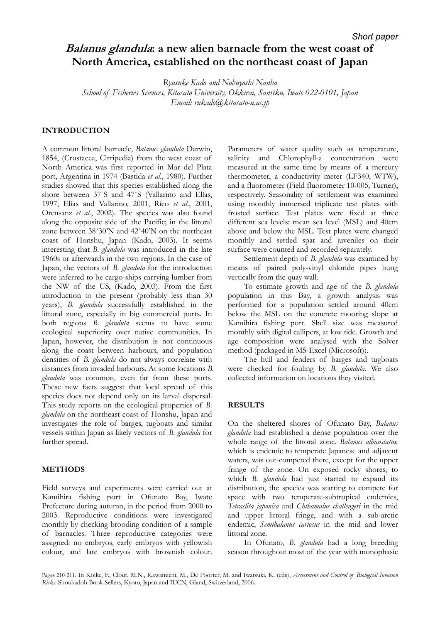# **Balanus glandula: a new alien barnacle from the west coast of North America, established on the northeast coast of Japan**

*Ryusuke Kado and Nobuyoshi Nanba* 

*School of Fisheries Sciences, Kitasato University, Okkirai, Sanriku, Iwate 022-0101, Japan Email: rukado@kitasato-u.ac.jp* 

## **INTRODUCTION**

A common littoral barnacle, *Balanus glandula* Darwin, 1854, (Crustacea, Cirripedia) from the west coast of North America was first reported in Mar del Plata port, Argentina in 1974 (Bastida *et al*., 1980). Further studies showed that this species established along the shore between 37˚S and 47˚S (Vallarino and Elías, 1997, Elías and Vallarino, 2001, Rico *et al*., 2001, Orensanz *et al.*, 2002). The species was also found along the opposite side of the Pacific; in the littoral zone between 38˚30'N and 42˚40'N on the northeast coast of Honshu, Japan (Kado, 2003). It seems interesting that *B. glandula* was introduced in the late 1960s or afterwards in the two regions. In the case of Japan, the vectors of *B. glandula* for the introduction were inferred to be cargo-ships carrying lumber from the NW of the US, (Kado, 2003). From the first introduction to the present (probably less than 30 years), *B. glandula* successfully established in the littoral zone, especially in big commercial ports. In both regions *B. glandula* seems to have some ecological superiority over native communities. In Japan, however, the distribution is not continuous along the coast between harbours, and population densities of *B. glandula* do not always correlate with distances from invaded harbours. At some locations *B. glandula* was common, even far from these ports. These new facts suggest that local spread of this species does not depend only on its larval dispersal. This study reports on the ecological properties of *B. glandula* on the northeast coast of Honshu, Japan and investigates the role of barges, tugboats and similar vessels within Japan as likely vectors of *B. glandula* for further spread.

### **METHODS**

Field surveys and experiments were carried out at Kamihira fishing port in Ofunato Bay, Iwate Prefecture during autumn, in the period from 2000 to 2003. Reproductive conditions were investigated monthly by checking brooding condition of a sample of barnacles. Three reproductive categories were assigned: no embryos, early embryos with yellowish colour, and late embryos with brownish colour.

Parameters of water quality such as temperature, salinity and Chlorophyll-a concentration were measured at the same time by means of a mercury thermometer, a conductivity meter (LF340, WTW), and a fluorometer (Field fluorometer 10-005, Turner), respectively. Seasonality of settlement was examined using monthly immersed triplicate test plates with frosted surface. Test plates were fixed at three different sea levels: mean sea level (MSL) and 40cm above and below the MSL. Test plates were changed monthly and settled spat and juveniles on their surface were counted and recorded separately.

Settlement depth of *B. glandula* was examined by means of paired poly-vinyl chloride pipes hung vertically from the quay wall.

To estimate growth and age of the *B. glandula* population in this Bay, a growth analysis was performed for a population settled around 40cm below the MSL on the concrete mooring slope at Kamihira fishing port. Shell size was measured monthly with digital callipers, at low tide. Growth and age composition were analysed with the Solver method (packaged in MS-Excel (Microsoft)).

The hull and fenders of barges and tugboats were checked for fouling by *B. glandula.* We also collected information on locations they visited.

## **RESULTS**

On the sheltered shores of Ofunato Bay, *Balanus glandula* had established a dense population over the whole range of the littoral zone. *Balanus albicostatus,* which is endemic to temperate Japanese and adjacent waters, was out-competed there, except for the upper fringe of the zone. On exposed rocky shores, to which *B. glandula* had just started to expand its distribution, the species was starting to compete for space with two temperate-subtropical endemics, *Tetraclita japonica* and *Chthamalus challengeri* in the mid and upper littoral fringe, and with a sub-arctic endemic, *Semibalanus cariosus* in the mid and lower littoral zone.

In Ofunato, *B. glandula* had a long breeding season throughout most of the year with monophasic